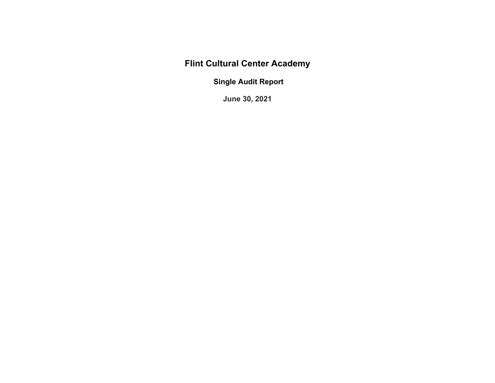**Flint Cultural Center Academy** 

 **Single Audit Report** 

**June 30, 2021**

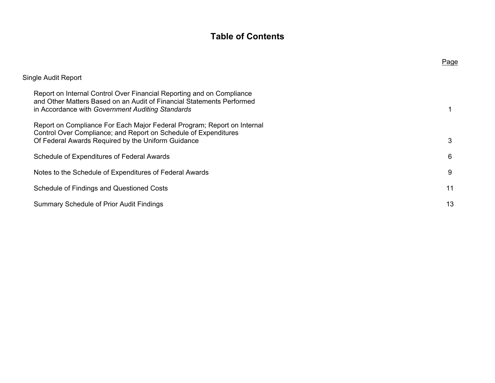# **Table of Contents**

|                                                                                                                                                                                                    | Page |
|----------------------------------------------------------------------------------------------------------------------------------------------------------------------------------------------------|------|
| Single Audit Report                                                                                                                                                                                |      |
| Report on Internal Control Over Financial Reporting and on Compliance<br>and Other Matters Based on an Audit of Financial Statements Performed<br>in Accordance with Government Auditing Standards |      |
| Report on Compliance For Each Major Federal Program; Report on Internal<br>Control Over Compliance; and Report on Schedule of Expenditures<br>Of Federal Awards Required by the Uniform Guidance   | 3    |
| Schedule of Expenditures of Federal Awards                                                                                                                                                         | 6    |
| Notes to the Schedule of Expenditures of Federal Awards                                                                                                                                            | 9    |
| Schedule of Findings and Questioned Costs                                                                                                                                                          | 11   |
| <b>Summary Schedule of Prior Audit Findings</b>                                                                                                                                                    | 13   |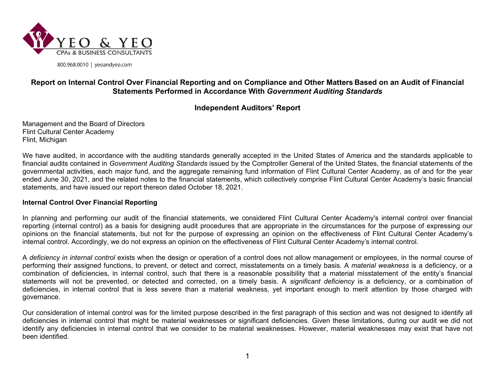

800.968.0010 | yeoandyeo.com

## **Report on Internal Control Over Financial Reporting and on Compliance and Other Matters Based on an Audit of Financial Statements Performed in Accordance With** *Government Auditing Standards*

## **Independent Auditors' Report**

Management and the Board of Directors Flint Cultural Center Academy Flint, Michigan

We have audited, in accordance with the auditing standards generally accepted in the United States of America and the standards applicable to financial audits contained in *Government Auditing Standards* issued by the Comptroller General of the United States, the financial statements of the governmental activities, each major fund, and the aggregate remaining fund information of Flint Cultural Center Academy, as of and for the year ended June 30, 2021, and the related notes to the financial statements, which collectively comprise Flint Cultural Center Academy's basic financial statements, and have issued our report thereon dated October 18, 2021.

### **Internal Control Over Financial Reporting**

In planning and performing our audit of the financial statements, we considered Flint Cultural Center Academy's internal control over financial reporting (internal control) as a basis for designing audit procedures that are appropriate in the circumstances for the purpose of expressing our opinions on the financial statements, but not for the purpose of expressing an opinion on the effectiveness of Flint Cultural Center Academy's internal control. Accordingly, we do not express an opinion on the effectiveness of Flint Cultural Center Academy's internal control.

A *deficiency in internal control* exists when the design or operation of a control does not allow management or employees, in the normal course of performing their assigned functions, to prevent, or detect and correct, misstatements on a timely basis. A *material weakness* is a deficiency, or a combination of deficiencies, in internal control, such that there is a reasonable possibility that a material misstatement of the entity's financial statements will not be prevented, or detected and corrected, on a timely basis. A *significant deficiency* is a deficiency, or a combination of deficiencies, in internal control that is less severe than a material weakness, yet important enough to merit attention by those charged with governance.

Our consideration of internal control was for the limited purpose described in the first paragraph of this section and was not designed to identify all deficiencies in internal control that might be material weaknesses or significant deficiencies. Given these limitations, during our audit we did not identify any deficiencies in internal control that we consider to be material weaknesses. However, material weaknesses may exist that have not been identified.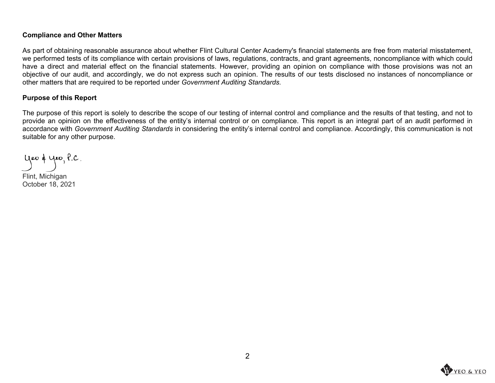### **Compliance and Other Matters**

As part of obtaining reasonable assurance about whether Flint Cultural Center Academy's financial statements are free from material misstatement, we performed tests of its compliance with certain provisions of laws, regulations, contracts, and grant agreements, noncompliance with which could have a direct and material effect on the financial statements. However, providing an opinion on compliance with those provisions was not an objective of our audit, and accordingly, we do not express such an opinion. The results of our tests disclosed no instances of noncompliance or other matters that are required to be reported under *Government Auditing Standards.*

### **Purpose of this Report**

The purpose of this report is solely to describe the scope of our testing of internal control and compliance and the results of that testing, and not to provide an opinion on the effectiveness of the entity's internal control or on compliance. This report is an integral part of an audit performed in accordance with *Government Auditing Standards* in considering the entity's internal control and compliance. Accordingly, this communication is not suitable for any other purpose.

yeo & yeo, P.C.

Flint, Michigan October 18, 2021

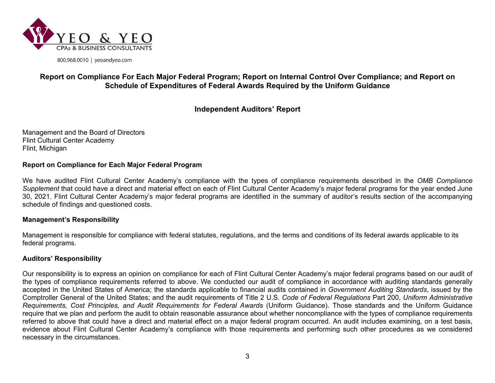

800.968.0010 | yeoandyeo.com

## **Report on Compliance For Each Major Federal Program; Report on Internal Control Over Compliance; and Report on Schedule of Expenditures of Federal Awards Required by the Uniform Guidance**

## **Independent Auditors' Report**

Management and the Board of Directors Flint Cultural Center Academy Flint, Michigan

### **Report on Compliance for Each Major Federal Program**

We have audited Flint Cultural Center Academy's compliance with the types of compliance requirements described in the *OMB Compliance Supplement* that could have a direct and material effect on each of Flint Cultural Center Academy's major federal programs for the year ended June 30, 2021. Flint Cultural Center Academy's major federal programs are identified in the summary of auditor's results section of the accompanying schedule of findings and questioned costs.

### **Management's Responsibility**

Management is responsible for compliance with federal statutes, regulations, and the terms and conditions of its federal awards applicable to its federal programs.

### **Auditors' Responsibility**

Our responsibility is to express an opinion on compliance for each of Flint Cultural Center Academy's major federal programs based on our audit of the types of compliance requirements referred to above. We conducted our audit of compliance in accordance with auditing standards generally accepted in the United States of America; the standards applicable to financial audits contained in *Government Auditing Standards*, issued by the Comptroller General of the United States; and the audit requirements of Title 2 U.S. *Code of Federal Regulations* Part 200, *Uniform Administrative Requirements, Cost Principles, and Audit Requirements for Federal Awards* (Uniform Guidance). Those standards and the Uniform Guidance require that we plan and perform the audit to obtain reasonable assurance about whether noncompliance with the types of compliance requirements referred to above that could have a direct and material effect on a major federal program occurred. An audit includes examining, on a test basis, evidence about Flint Cultural Center Academy's compliance with those requirements and performing such other procedures as we considered necessary in the circumstances.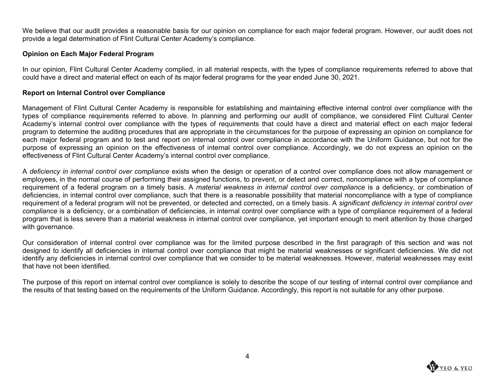We believe that our audit provides a reasonable basis for our opinion on compliance for each major federal program. However, our audit does not provide a legal determination of Flint Cultural Center Academy's compliance.

### **Opinion on Each Major Federal Program**

In our opinion, Flint Cultural Center Academy complied, in all material respects, with the types of compliance requirements referred to above that could have a direct and material effect on each of its major federal programs for the year ended June 30, 2021.

### **Report on Internal Control over Compliance**

Management of Flint Cultural Center Academy is responsible for establishing and maintaining effective internal control over compliance with the types of compliance requirements referred to above. In planning and performing our audit of compliance, we considered Flint Cultural Center Academy's internal control over compliance with the types of requirements that could have a direct and material effect on each major federal program to determine the auditing procedures that are appropriate in the circumstances for the purpose of expressing an opinion on compliance for each major federal program and to test and report on internal control over compliance in accordance with the Uniform Guidance, but not for the purpose of expressing an opinion on the effectiveness of internal control over compliance. Accordingly, we do not express an opinion on the effectiveness of Flint Cultural Center Academy's internal control over compliance.

A *deficiency in internal control over compliance* exists when the design or operation of a control over compliance does not allow management or employees, in the normal course of performing their assigned functions, to prevent, or detect and correct, noncompliance with a type of compliance requirement of a federal program on a timely basis. A *material weakness in internal control over compliance* is a deficiency, or combination of deficiencies, in internal control over compliance, such that there is a reasonable possibility that material noncompliance with a type of compliance requirement of a federal program will not be prevented, or detected and corrected, on a timely basis. A *significant deficiency in internal control over compliance* is a deficiency, or a combination of deficiencies, in internal control over compliance with a type of compliance requirement of a federal program that is less severe than a material weakness in internal control over compliance, yet important enough to merit attention by those charged with governance.

Our consideration of internal control over compliance was for the limited purpose described in the first paragraph of this section and was not designed to identify all deficiencies in internal control over compliance that might be material weaknesses or significant deficiencies. We did not identify any deficiencies in internal control over compliance that we consider to be material weaknesses. However, material weaknesses may exist that have not been identified.

The purpose of this report on internal control over compliance is solely to describe the scope of our testing of internal control over compliance and the results of that testing based on the requirements of the Uniform Guidance. Accordingly, this report is not suitable for any other purpose.

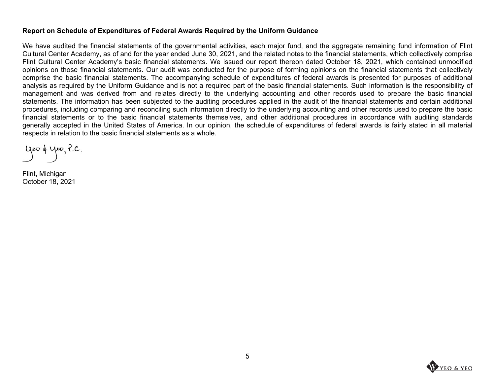### **Report on Schedule of Expenditures of Federal Awards Required by the Uniform Guidance**

We have audited the financial statements of the governmental activities, each major fund, and the aggregate remaining fund information of Flint Cultural Center Academy, as of and for the year ended June 30, 2021, and the related notes to the financial statements, which collectively comprise Flint Cultural Center Academy's basic financial statements. We issued our report thereon dated October 18, 2021, which contained unmodified opinions on those financial statements. Our audit was conducted for the purpose of forming opinions on the financial statements that collectively comprise the basic financial statements. The accompanying schedule of expenditures of federal awards is presented for purposes of additional analysis as required by the Uniform Guidance and is not a required part of the basic financial statements. Such information is the responsibility of management and was derived from and relates directly to the underlying accounting and other records used to prepare the basic financial statements. The information has been subjected to the auditing procedures applied in the audit of the financial statements and certain additional procedures, including comparing and reconciling such information directly to the underlying accounting and other records used to prepare the basic financial statements or to the basic financial statements themselves, and other additional procedures in accordance with auditing standards generally accepted in the United States of America. In our opinion, the schedule of expenditures of federal awards is fairly stated in all material respects in relation to the basic financial statements as a whole.

yeo & yeo, P.C.

Flint, Michigan October 18, 2021

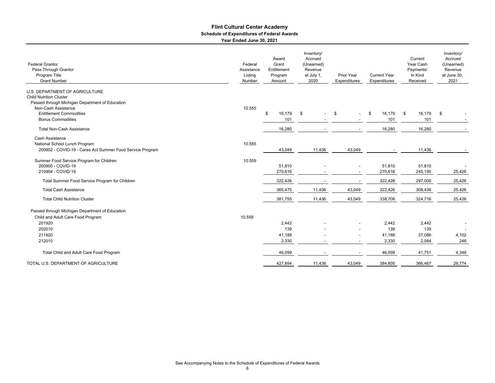#### **Flint Cultural Center Academy Year Ended June 30, 2021 Schedule of Expenditures of Federal Awards**

| <b>Federal Grantor</b><br>Pass Through Grantor<br>Program Title<br><b>Grant Number</b> | Federal<br>Assistance<br>Listing<br>Number | Award<br>Grant<br>Entitlement<br>Program<br>Amount | Inventory/<br>Accrued<br>(Unearned)<br>Revenue<br>at July 1,<br>2020 | Prior Year<br>Expenditures | <b>Current Year</b><br>Expenditures | Current<br>Year Cash<br>Payments/<br>In Kind<br>Received | Inventory/<br>Accrued<br>(Unearned)<br>Revenue<br>at June 30,<br>2021 |
|----------------------------------------------------------------------------------------|--------------------------------------------|----------------------------------------------------|----------------------------------------------------------------------|----------------------------|-------------------------------------|----------------------------------------------------------|-----------------------------------------------------------------------|
|                                                                                        |                                            |                                                    |                                                                      |                            |                                     |                                                          |                                                                       |
| <b>U.S. DEPARTMENT OF AGRICULTURE</b><br><b>Child Nutrition Cluster</b>                |                                            |                                                    |                                                                      |                            |                                     |                                                          |                                                                       |
| Passed through Michigan Department of Education                                        |                                            |                                                    |                                                                      |                            |                                     |                                                          |                                                                       |
| Non-Cash Assistance                                                                    | 10.555                                     |                                                    |                                                                      |                            |                                     |                                                          |                                                                       |
| <b>Entitlement Commodities</b>                                                         |                                            | \$<br>16,179                                       | \$                                                                   | \$                         | 16,179<br>\$                        | 16,179<br>- \$                                           | -\$                                                                   |
| <b>Bonus Commodities</b>                                                               |                                            | 101                                                |                                                                      |                            | 101                                 | 101                                                      |                                                                       |
| <b>Total Non-Cash Assistance</b>                                                       |                                            | 16,280                                             |                                                                      |                            | 16,280                              | 16,280                                                   |                                                                       |
| Cash Assistance                                                                        |                                            |                                                    |                                                                      |                            |                                     |                                                          |                                                                       |
| National School Lunch Program                                                          | 10.555                                     |                                                    |                                                                      |                            |                                     |                                                          |                                                                       |
| 200902 - COVID-19 - Cares Act Summer Food Service Program                              |                                            | 43,049                                             | 11,436                                                               | 43,049                     |                                     | 11,436                                                   |                                                                       |
|                                                                                        |                                            |                                                    |                                                                      |                            |                                     |                                                          |                                                                       |
| Summer Food Service Program for Children                                               | 10.559                                     |                                                    |                                                                      |                            |                                     |                                                          |                                                                       |
| 200900 - COVID-19                                                                      |                                            | 51,810                                             |                                                                      |                            | 51,810                              | 51,810                                                   |                                                                       |
| 210904 - COVID-19                                                                      |                                            | 270,616                                            |                                                                      |                            | 270,616                             | 245,190                                                  | 25,426                                                                |
| Total Summer Food Service Program for Children                                         |                                            | 322,426                                            |                                                                      |                            | 322,426                             | 297,000                                                  | 25,426                                                                |
| <b>Total Cash Assistance</b>                                                           |                                            | 365,475                                            | 11,436                                                               | 43,049                     | 322,426                             | 308,436                                                  | 25,426                                                                |
| <b>Total Child Nutrition Cluster</b>                                                   |                                            | 381,755                                            | 11,436                                                               | 43,049                     | 338,706                             | 324,716                                                  | 25,426                                                                |
| Passed through Michigan Department of Education                                        |                                            |                                                    |                                                                      |                            |                                     |                                                          |                                                                       |
| Child and Adult Care Food Program                                                      | 10.558                                     |                                                    |                                                                      |                            |                                     |                                                          |                                                                       |
| 201920                                                                                 |                                            | 2,442                                              |                                                                      |                            | 2,442                               | 2,442                                                    |                                                                       |
| 202010                                                                                 |                                            | 139                                                |                                                                      |                            | 139                                 | 139                                                      |                                                                       |
| 211920                                                                                 |                                            | 41,188                                             |                                                                      |                            | 41,188                              | 37,086                                                   | 4,102                                                                 |
| 212010                                                                                 |                                            | 2,330                                              |                                                                      |                            | 2,330                               | 2,084                                                    | 246                                                                   |
| Total Child and Adult Care Food Program                                                |                                            | 46,099                                             |                                                                      |                            | 46,099                              | 41,751                                                   | 4,348                                                                 |
| TOTAL U.S. DEPARTMENT OF AGRICULTURE                                                   |                                            | 427,854                                            | 11,436                                                               | 43,049                     | 384,805                             | 366,467                                                  | 29,774                                                                |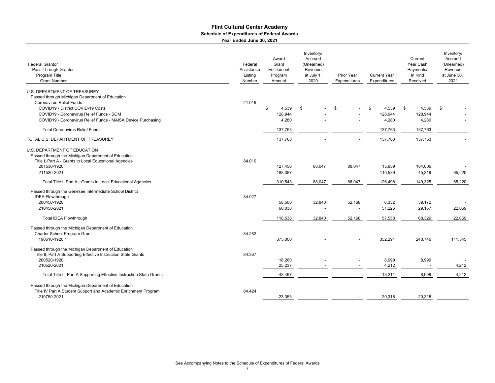#### **Flint Cultural Center Academy Year Ended June 30, 2021 Schedule of Expenditures of Federal Awards**

| <b>Federal Grantor</b><br>Pass Through Grantor<br>Program Title<br><b>Grant Number</b>                                                                                                                                                                              | Federal<br>Assistance<br>Listing<br>Number | Award<br>Grant<br>Entitlement<br>Program<br>Amount | Inventory/<br>Accrued<br>(Unearned)<br>Revenue<br>at July 1,<br>2020 | Prior Year<br>Expenditures | <b>Current Year</b><br>Expenditures | Current<br>Year Cash<br>Payments/<br>In Kind<br>Received | Inventory/<br>Accrued<br>(Unearned)<br>Revenue<br>at June 30,<br>2021 |
|---------------------------------------------------------------------------------------------------------------------------------------------------------------------------------------------------------------------------------------------------------------------|--------------------------------------------|----------------------------------------------------|----------------------------------------------------------------------|----------------------------|-------------------------------------|----------------------------------------------------------|-----------------------------------------------------------------------|
| U.S. DEPARTMENT OF TREASUREY<br>Passed through Michigan Department of Education<br><b>Coronavirus Relief Funds</b><br>COVID19 - District COVID-19 Costs<br>COVID19 - Coronavirus Relief Funds - SOM<br>COVID19 - Coronavirus Relief Funds - MAISA Device Purchasing | 21.019                                     | \$<br>4,539<br>128,944<br>4,280                    | \$                                                                   | \$                         | 4,539<br>\$<br>128,944<br>4,280     | 4,539<br>\$<br>128,944<br>4,280                          | \$                                                                    |
| <b>Total Coronavirus Relief Funds</b>                                                                                                                                                                                                                               |                                            | 137,763                                            |                                                                      |                            | 137,763                             | 137,763                                                  |                                                                       |
| TOTAL U.S. DEPARTMENT OF TREASUREY                                                                                                                                                                                                                                  |                                            | 137,763                                            |                                                                      |                            | 137,763                             | 137,763                                                  |                                                                       |
| U.S. DEPARTMENT OF EDUCATION<br>Passed through the Michigan Department of Education<br>Title I, Part A - Grants to Local Educational Agencies<br>201530-1920<br>211530-2021                                                                                         | 84.010                                     | 127,456<br>183,087                                 | 88,047                                                               | 88,047                     | 15,959<br>110,539                   | 104,006<br>45,319                                        | 65,220                                                                |
| Total Title I, Part A - Grants to Local Educational Agencies                                                                                                                                                                                                        |                                            | 310,543                                            | 88,047                                                               | 88,047                     | 126,498                             | 149,325                                                  | 65,220                                                                |
| Passed through the Genesee Intermediate School District<br><b>IDEA Flowthrough</b><br>200450-1920<br>210450-2021                                                                                                                                                    | 84.027                                     | 58,500<br>60,038                                   | 32,840                                                               | 52,168                     | 6,332<br>51,226                     | 39,172<br>29,157                                         | 22,069                                                                |
| <b>Total IDEA Flowthrough</b>                                                                                                                                                                                                                                       |                                            | 118,538                                            | 32,840                                                               | 52,168                     | 57,558                              | 68,329                                                   | 22,069                                                                |
| Passed through the Michigan Department of Education<br>Charter School Program Grant<br>190610-192011                                                                                                                                                                | 84.282                                     | 375,000                                            |                                                                      |                            | 352,291                             | 240,746                                                  | 111,545                                                               |
| Passed through the Michigan Department of Education<br>Title II, Part A Supporting Effective Instruction State Grants<br>200520-1920<br>210520-2021                                                                                                                 | 84.367                                     | 18,260<br>25,237                                   |                                                                      |                            | 8,999<br>4,212                      | 8,999<br>$\overline{\phantom{a}}$                        | 4,212                                                                 |
| Total Title II, Part A Supporting Effective Instruction State Grants                                                                                                                                                                                                |                                            | 43,497                                             |                                                                      |                            | 13,211                              | 8,999                                                    | 4,212                                                                 |
| Passed through the Michigan Department of Education<br>Title IV Part A Student Support and Academic Enrichment Program<br>210750-2021                                                                                                                               | 84.424                                     | 23,353                                             |                                                                      |                            | 20,318                              | 20,318                                                   |                                                                       |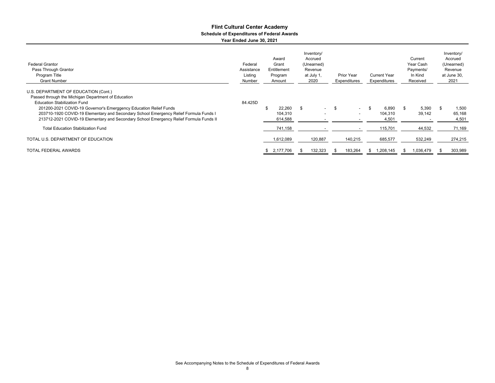#### **Flint Cultural Center Academy Year Ended June 30, 2021 Schedule of Expenditures of Federal Awards**

| <b>Federal Grantor</b><br>Pass Through Grantor<br>Program Title<br><b>Grant Number</b>                                                                                                                                                                                                                                                                                                     | Inventory/<br>Award<br>Accrued<br>Grant<br>Federal<br>(Unearned)<br>Entitlement<br>Revenue<br>Assistance<br>Listing<br>at July 1,<br><b>Prior Year</b><br>Program<br>2020<br>Expenditures<br>Number<br>Amount |                              | <b>Current Year</b><br>Expenditures | Current<br>Year Cash<br>Payments/<br>In Kind<br>Received |         | Inventory/<br>Accrued<br>(Unearned)<br>Revenue<br>at June 30,<br>2021 |  |                 |  |                          |
|--------------------------------------------------------------------------------------------------------------------------------------------------------------------------------------------------------------------------------------------------------------------------------------------------------------------------------------------------------------------------------------------|---------------------------------------------------------------------------------------------------------------------------------------------------------------------------------------------------------------|------------------------------|-------------------------------------|----------------------------------------------------------|---------|-----------------------------------------------------------------------|--|-----------------|--|--------------------------|
| U.S. DEPARTMENT OF EDUCATION (Cont.)<br>Passed through the Michigan Department of Education<br><b>Education Stabilization Fund</b><br>201200-2021 COVID-19 Governor's Emerggency Education Relief Funds<br>203710-1920 COVID-19 Elementary and Secondary School Emergency Relief Formula Funds I<br>213712-2021 COVID-19 Elementary and Secondary School Emergency Relief Formula Funds II | 84.425D                                                                                                                                                                                                       | 22,260<br>104.310<br>614,588 | \$<br>$\sim$                        | - \$                                                     | $\sim$  | 6.890<br>104,310<br>4,501                                             |  | 5,390<br>39,142 |  | 1,500<br>65,168<br>4,501 |
| <b>Total Education Stabilization Fund</b>                                                                                                                                                                                                                                                                                                                                                  |                                                                                                                                                                                                               | 741,158                      |                                     |                                                          |         | 115,701                                                               |  | 44,532          |  | 71,169                   |
| TOTAL U.S. DEPARTMENT OF EDUCATION                                                                                                                                                                                                                                                                                                                                                         |                                                                                                                                                                                                               | 1,612,089                    | 120,887                             |                                                          | 140,215 | 685,577                                                               |  | 532,249         |  | 274,215                  |
| TOTAL FEDERAL AWARDS                                                                                                                                                                                                                                                                                                                                                                       |                                                                                                                                                                                                               | 2,177,706<br>£.              | 132,323                             |                                                          | 183,264 | 1,208,145                                                             |  | 1,036,479       |  | 303,989                  |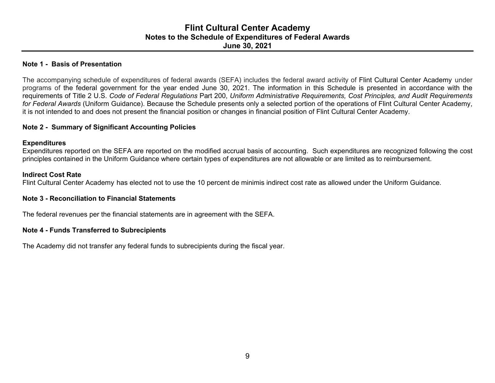## **Flint Cultural Center Academy Notes to the Schedule of Expenditures of Federal Awards June 30, 2021**

### **Note 1 - Basis of Presentation**

The accompanying schedule of expenditures of federal awards (SEFA) includes the federal award activity of Flint Cultural Center Academy under programs of the federal government for the year ended June 30, 2021. The information in this Schedule is presented in accordance with the requirements of Title 2 U.S. *Code of Federal Regulations* Part 200, *Uniform Administrative Requirements, Cost Principles, and Audit Requirements for Federal Awards* (Uniform Guidance). Because the Schedule presents only a selected portion of the operations of Flint Cultural Center Academy, it is not intended to and does not present the financial position or changes in financial position of Flint Cultural Center Academy.

### **Note 2 - Summary of Significant Accounting Policies**

### **Expenditures**

Expenditures reported on the SEFA are reported on the modified accrual basis of accounting. Such expenditures are recognized following the cost principles contained in the Uniform Guidance where certain types of expenditures are not allowable or are limited as to reimbursement.

### **Indirect Cost Rate**

Flint Cultural Center Academy has elected not to use the 10 percent de minimis indirect cost rate as allowed under the Uniform Guidance.

### **Note 3 - Reconciliation to Financial Statements**

The federal revenues per the financial statements are in agreement with the SEFA.

### **Note 4 - Funds Transferred to Subrecipients**

The Academy did not transfer any federal funds to subrecipients during the fiscal year.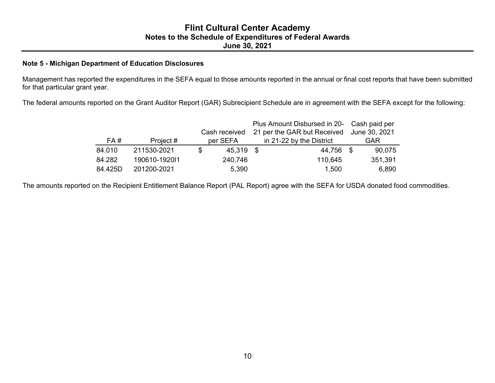### **Note 5 - Michigan Department of Education Disclosures**

Management has reported the expenditures in the SEFA equal to those amounts reported in the annual or final cost reports that have been submitted for that particular grant year.

The federal amounts reported on the Grant Auditor Report (GAR) Subrecipient Schedule are in agreement with the SEFA except for the following:

|         |               |    |               | Plus Amount Disbursed in 20- Cash paid per |                          |  |               |
|---------|---------------|----|---------------|--------------------------------------------|--------------------------|--|---------------|
|         |               |    | Cash received | 21 per the GAR but Received                |                          |  | June 30, 2021 |
| FA#     | Project #     |    | per SEFA      |                                            | in 21-22 by the District |  | <b>GAR</b>    |
| 84.010  | 211530-2021   | S. | 45,319        | - \$                                       | 44,756 \$                |  | 90,075        |
| 84.282  | 190610-192011 |    | 240,746       |                                            | 110,645                  |  | 351,391       |
| 84.425D | 201200-2021   |    | 5,390         |                                            | 1,500                    |  | 6,890         |

The amounts reported on the Recipient Entitlement Balance Report (PAL Report) agree with the SEFA for USDA donated food commodities.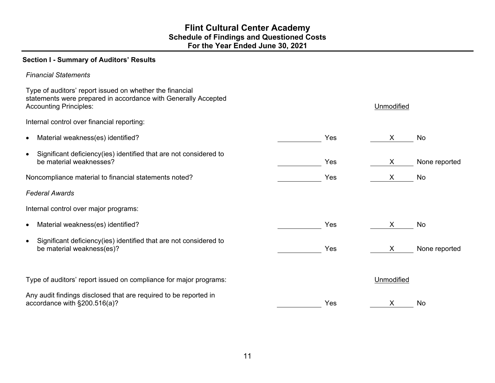## **Flint Cultural Center Academy Schedule of Findings and Questioned Costs For the Year Ended June 30, 2021**

## **Section I - Summary of Auditors' Results**

| <b>Financial Statements</b>                                                                                                                                 |     |            |               |
|-------------------------------------------------------------------------------------------------------------------------------------------------------------|-----|------------|---------------|
| Type of auditors' report issued on whether the financial<br>statements were prepared in accordance with Generally Accepted<br><b>Accounting Principles:</b> |     | Unmodified |               |
| Internal control over financial reporting:                                                                                                                  |     |            |               |
| Material weakness(es) identified?<br>$\bullet$                                                                                                              | Yes | X          | No            |
| Significant deficiency(ies) identified that are not considered to<br>$\bullet$<br>be material weaknesses?                                                   | Yes | X          | None reported |
| Noncompliance material to financial statements noted?                                                                                                       | Yes | X          | No            |
| <b>Federal Awards</b>                                                                                                                                       |     |            |               |
| Internal control over major programs:                                                                                                                       |     |            |               |
| Material weakness(es) identified?<br>$\bullet$                                                                                                              | Yes | X          | No            |
| Significant deficiency(ies) identified that are not considered to<br>$\bullet$<br>be material weakness(es)?                                                 | Yes | X          | None reported |
| Type of auditors' report issued on compliance for major programs:                                                                                           |     | Unmodified |               |
| Any audit findings disclosed that are required to be reported in<br>accordance with §200.516(a)?                                                            | Yes | X          | No            |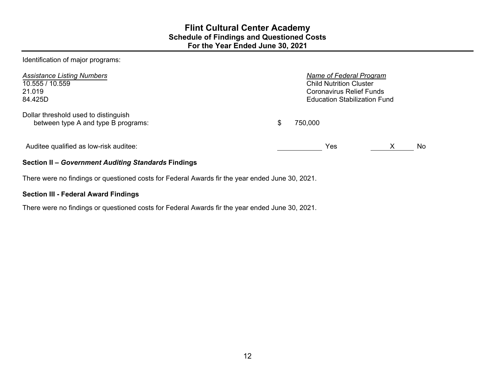Identification of major programs:

| <b>Assistance Listing Numbers</b><br>10.555 / 10.559<br>21.019<br>84.425D   | Name of Federal Program<br><b>Child Nutrition Cluster</b><br>Coronavirus Relief Funds<br><b>Education Stabilization Fund</b> |         |   |     |  |
|-----------------------------------------------------------------------------|------------------------------------------------------------------------------------------------------------------------------|---------|---|-----|--|
| Dollar threshold used to distinguish<br>between type A and type B programs: |                                                                                                                              | 750,000 |   |     |  |
| Auditee qualified as low-risk auditee:                                      |                                                                                                                              | Yes     | X | No. |  |
| Section II - Government Auditing Standards Findings                         |                                                                                                                              |         |   |     |  |

There were no findings or questioned costs for Federal Awards fir the year ended June 30, 2021.

## **Section III - Federal Award Findings**

There were no findings or questioned costs for Federal Awards fir the year ended June 30, 2021.